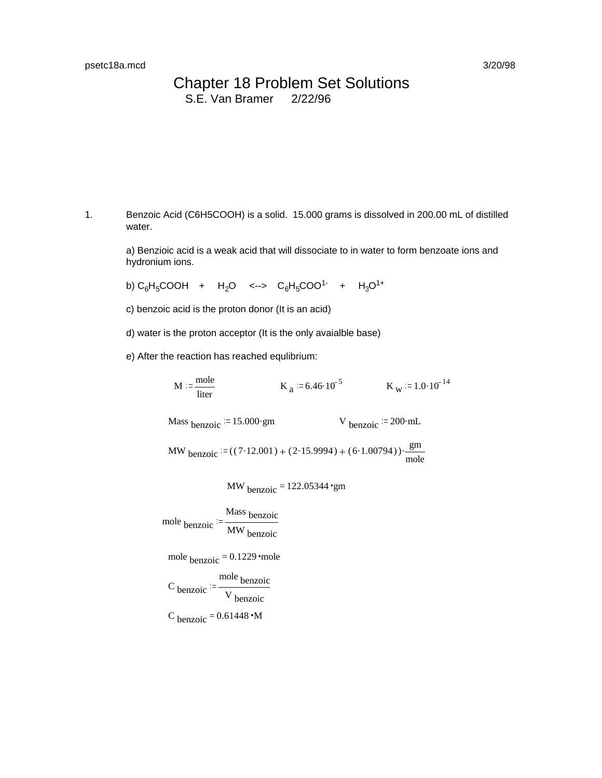# Chapter 18 Problem Set Solutions S.E. Van Bramer 2/22/96

1. Benzoic Acid (C6H5COOH) is a solid. 15.000 grams is dissolved in 200.00 mL of distilled water.

a) Benzioic acid is a weak acid that will dissociate to in water to form benzoate ions and hydronium ions.

b)  $C_6H_5COOH + H_2O \le -2$   $C_6H_5COO^{1-} + H_3O^{1+}$ 

- c) benzoic acid is the proton donor (It is an acid)
- d) water is the proton acceptor (It is the only avaialble base)
- e) After the reaction has reached equlibrium:

$$
M := \frac{\text{mole}}{\text{liter}}
$$
  $K_a = 6.46 \cdot 10^{-5}$   $K_w := 1.0 \cdot 10^{-14}$ 

Mass benzoic  $= 15.000 \text{ cm}$  V benzoic  $= 200 \text{ mL}$ 

MW benzoic  $=( (7.12.001) + (2.15.9994) + (6.1.00794)) \cdot \frac{\text{gm}}{1}$ mole

MW  $_{\text{benzolic}} = 122.05344 \, \text{g}$ 

mole benzoic Mass <sub>benzoic</sub> MW benzoic

mole  $_{\text{benzolic}} = 0.1229$  mole

$$
C_{benzoic} = \frac{\text{mole benzoic}}{V_{benzoic}}
$$

C benzoic =  $0.61448 \cdot M$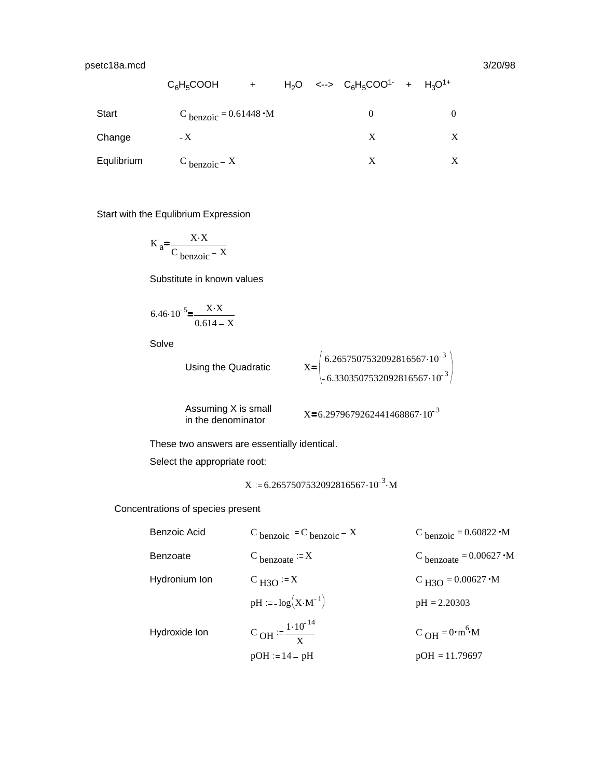$C_6H_5$ COOH +  $H_2O \leftarrow > C_6H_5$ COO<sup>1</sup> +  $H_3O^{1+}$ 

| Start      | C benzoic = $0.61448 \cdot M$ |  |
|------------|-------------------------------|--|
| Change     | $-X$                          |  |
| Equlibrium | $C_{\text{benzolic}} - X$     |  |

Start with the Equlibrium Expression

$$
K_{a} = \frac{X \cdot X}{C_{benzolic} - X}
$$

Substitute in known values

$$
6.46 \cdot 10^{-5} = \frac{X \cdot X}{0.614 - X}
$$

Solve

Using the Quadratic 
$$
X = \begin{pmatrix} 6.2657507532092816567 \cdot 10^{-3} \\ -6.3303507532092816567 \cdot 10^{-3} \end{pmatrix}
$$

Assuming X is small Assuming X is small<br>in the denominator  $X=6.2979679262441468867 \cdot 10^{-3}$ 

These two answers are essentially identical.

Select the appropriate root:

$$
X = 6.2657507532092816567 \cdot 10^{-3} \cdot M
$$

| <b>Benzoic Acid</b> | C benzoic $=C$ benzoic $-X$            | C benzoic = $0.60822 \cdot M$  |
|---------------------|----------------------------------------|--------------------------------|
| Benzoate            | $C_{benzoate} = X$                     | C benzoate = $0.00627 \cdot M$ |
| Hydronium Ion       | $C_{H3O} = X$                          | $C_{H3O} = 0.00627$ ·M         |
|                     | $pH = -\log(X \cdot M^{-1})$           | $pH = 2.20303$                 |
| Hydroxide Ion       | $C_{\text{OH}} = \frac{1.10^{-14}}{V}$ | $C_{OH} = 0 \cdot m^6 M$       |
|                     | $pOH = 14 - pH$                        | $pOH = 11.79697$               |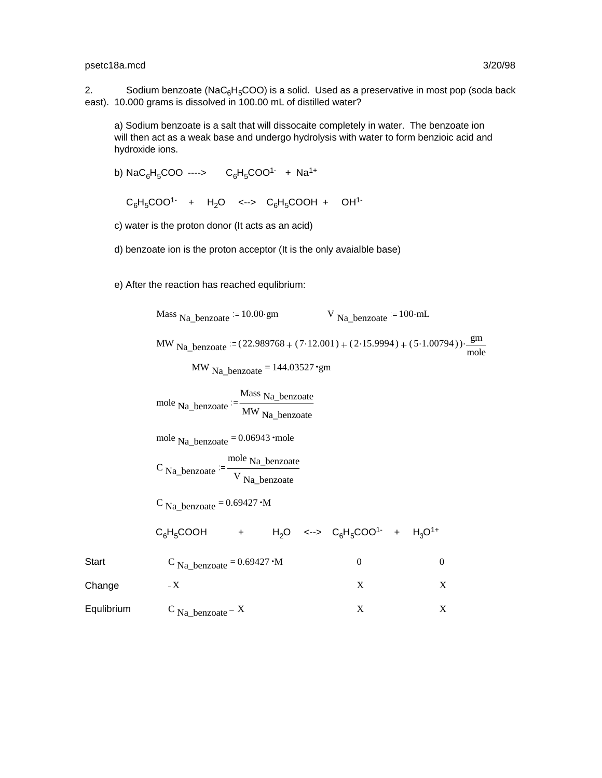2. Sodium benzoate (NaC $<sub>6</sub>H<sub>5</sub>COO$ ) is a solid. Used as a preservative in most pop (soda back</sub> east). 10.000 grams is dissolved in 100.00 mL of distilled water?

a) Sodium benzoate is a salt that will dissocaite completely in water. The benzoate ion will then act as a weak base and undergo hydrolysis with water to form benzioic acid and hydroxide ions.

b)  $\text{NaC}_6\text{H}_5$ COO ---->  $\text{C}_6\text{H}_5$ COO<sup>1-</sup> + Na<sup>1+</sup>

$$
C_6H_5COO^{1-} + H_2O \iff C_6H_5COOH + OH^{1-}
$$

c) water is the proton donor (It acts as an acid)

d) benzoate ion is the proton acceptor (It is the only avaialble base)

e) After the reaction has reached equlibrium:

Mass  $\text{Na}$  benzoate  $= 10.00 \text{ gm}$  V  $\text{Na}$  benzoate  $= 100 \text{ mL}$ 

MW Na\_benzoate  $=(22.989768 + (7.12.001) + (2.15.9994) + (5.1.00794)) \cdot \frac{gm}{2}$ mole

MW  $_{\text{Na}}$  benzoate = 144.03527 •gm

$$
mole_{Na\_benzoate} = \frac{Mass_{Na\_benzoate}}{MW_{Na\_benzoate}}
$$

mole  $Na_{\text{}}$ benzoate = 0.06943 • mole

$$
C_{Na\_benzoate} = \frac{\text{mole Na\_benzoate}}{V_{Na\_benzoate}}
$$

 $C$  Na\_benzoate = 0.69427  $\cdot$ M

$$
C_6H_5COOH
$$
 +  $H_2O$   $\leftarrow$  >  $C_6H_5COO^{1}$  +  $H_3O^{1+}$ 

Start C  $_{\text{Na}}$  benzoate = 0.69427 M 0 0 0

| Change     | $-\Delta$                     |  |
|------------|-------------------------------|--|
| Equlibrium | $C_{\text{Na}}$ benzoate $-X$ |  |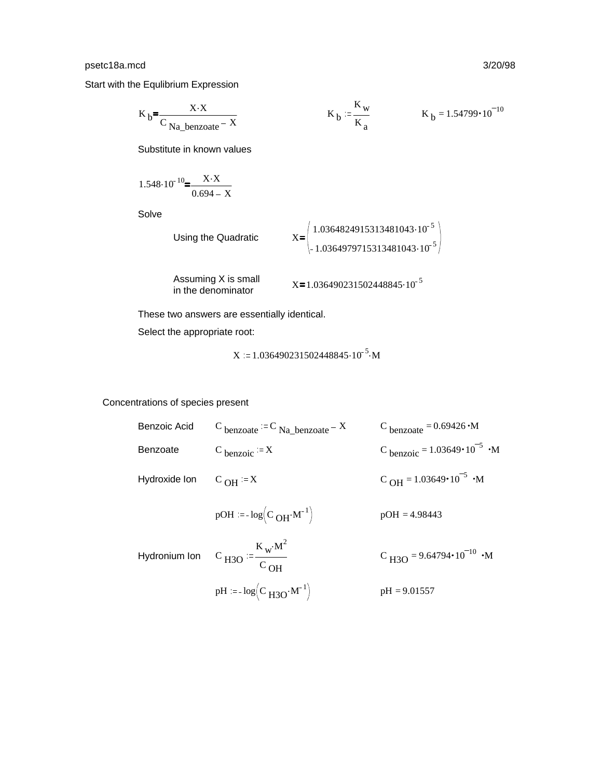Start with the Equlibrium Expression

$$
K_b = \frac{X \cdot X}{C_{Na_bbenzoate} - X}
$$
\n
$$
K_b := \frac{K_w}{K_a}
$$
\n
$$
K_b = 1.54799 \cdot 10^{-10}
$$

Substitute in known values

$$
1.548 \cdot 10^{-10} = \frac{X \cdot X}{0.694 - X}
$$

Solve

Using the Quadratic 
$$
X = \begin{pmatrix} 1.0364824915313481043 \cdot 10^{-5} \\ 1.0364979715313481043 \cdot 10^{-5} \end{pmatrix}
$$

Assuming X is small<br>in the denominator  $X = 1.036490231502448845.10^{-5}$ 

These two answers are essentially identical.

Select the appropriate root:

$$
X = 1.036490231502448845 \cdot 10^{-5}
$$
 M

| <b>Benzoic Acid</b> | $C_{benzoate} = C_{Na_{benzoate}} - X$           | C benzoate = $0.69426 \cdot M$             |
|---------------------|--------------------------------------------------|--------------------------------------------|
| Benzoate            | $C_{benzolic} = X$                               | C benzoic = $1.03649 \cdot 10^{-5}$ ·M     |
| Hydroxide Ion       | $C_{\text{OH}} = X$                              | $C_{\text{OH}} = 1.03649 \cdot 10^{-5}$ ·M |
|                     | $pOH = -\log(C_{\text{OH}} \cdot \text{M}^{-1})$ | $pOH = 4.98443$                            |
| Hydronium Ion       | $C_{H3O} = \frac{K_w M^2}{C_{OH}}$               | $C_{H3O} = 9.64794 \cdot 10^{-10}$ ·M      |
|                     | $pH = -\log(C_{H3O} \cdot M^{-1})$               | $pH = 9.01557$                             |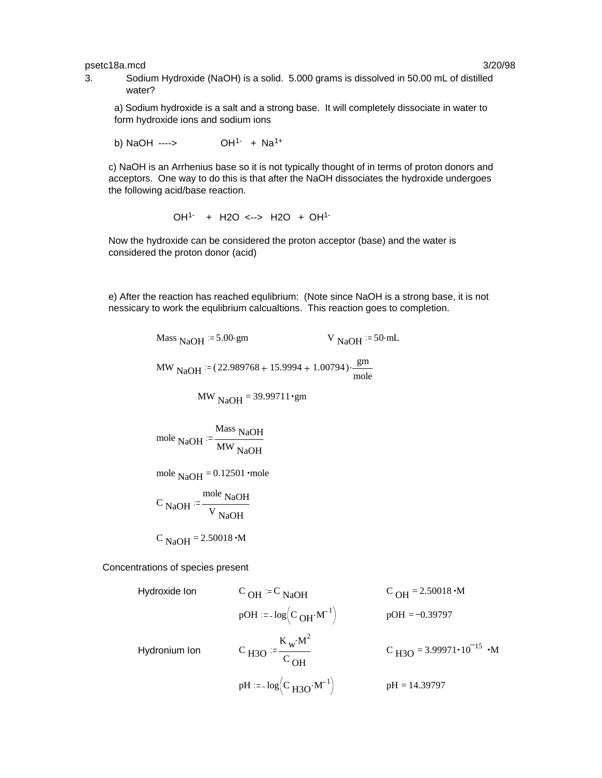3. Sodium Hydroxide (NaOH) is a solid. 5.000 grams is dissolved in 50.00 mL of distilled water?

a) Sodium hydroxide is a salt and a strong base. It will completely dissociate in water to form hydroxide ions and sodium ions

b) NaOH ---> 
$$
OH^{1-} + Na^{1+}
$$

c) NaOH is an Arrhenius base so it is not typically thought of in terms of proton donors and acceptors. One way to do this is that after the NaOH dissociates the hydroxide undergoes the following acid/base reaction.

OH1- + H2O <--> H2O + OH1-

Now the hydroxide can be considered the proton acceptor (base) and the water is considered the proton donor (acid)

e) After the reaction has reached equlibrium: (Note since NaOH is a strong base, it is not nessicary to work the equlibrium calcualtions. This reaction goes to completion.

Mass NaOH = 5.00 gm   
\n
$$
V_{NaOH} = 50 \text{ mL}
$$
\n
$$
MW_{NaOH} = (22.989768 + 15.9994 + 1.00794) \cdot \frac{\text{gm}}{\text{mole}}
$$
\n
$$
MW_{NaOH} = 39.99711 \cdot \text{gm}
$$
\n
$$
mole_{NaOH} = \frac{Mass NaOH}{MW NaOH}
$$

mole  $NaOH = 0.12501$  mole

$$
C_{NaOH} := \frac{\text{mole NaOH}}{\text{V NaOH}}
$$

 $C_{\text{NaOH}} = 2.50018 \cdot M$ 

Hydroxide Ion

\n
$$
C_{OH} := C_{NaOH}
$$
\n
$$
C_{OH} = 2.50018 \cdot M
$$
\n
$$
pOH := -\log(C_{OH} \cdot M^{-1})
$$
\n
$$
C_{H3O} := \frac{K_{w} M^{2}}{C_{OH}}
$$
\n
$$
PH := -\log(C_{H3O} \cdot M^{-1})
$$
\n
$$
PH = 14.39797
$$
\nQH = 2.50018 \cdot M

\n
$$
PH = 2.50018 \cdot M
$$
\n
$$
PH = 2.50018 \cdot M
$$
\n
$$
PH = 2.50018 \cdot M
$$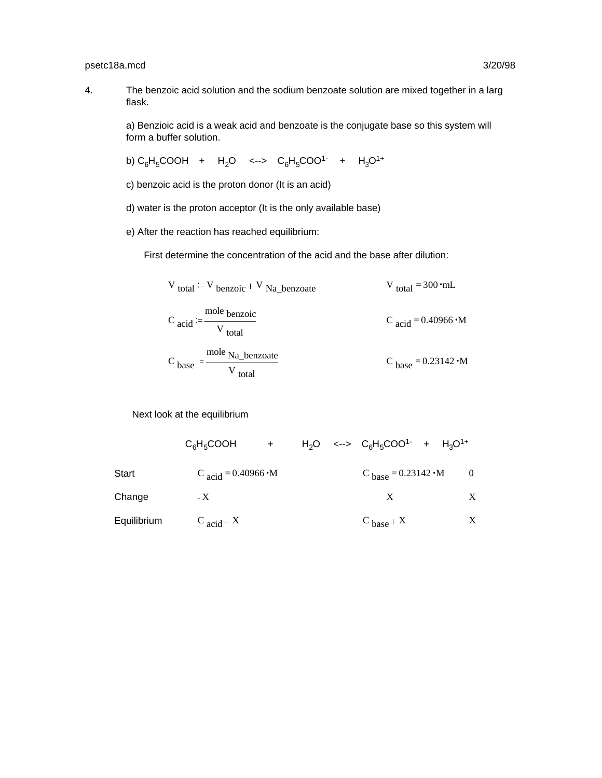a) Benzioic acid is a weak acid and benzoate is the conjugate base so this system will form a buffer solution.

b)  $C_6H_5COOH$  +  $H_2O$  <-->  $C_6H_5COO^{1-}$  +  $H_3O^{1+}$ 

c) benzoic acid is the proton donor (It is an acid)

d) water is the proton acceptor (It is the only available base)

e) After the reaction has reached equilibrium:

First determine the concentration of the acid and the base after dilution:

V<sub>total</sub> := V<sub>benzoic</sub> + V<sub>Na\_benzoate</sub> V<sub>total</sub> = 300·mL  
\nC<sub>acid</sub> = 
$$
\frac{\text{mole benzoic}}{\text{V total}}
$$
 C<sub>acid</sub> = 0.40966·M  
\nC<sub>base</sub> :=  $\frac{\text{mole Na_benzoate}}{\text{V}}}$  C<sub>base</sub> = 0.23142·M

$$
V_{\text{total}}
$$

Next look at the equilibrium

|              | $C_6H_5COOH$ +                      |  | $H_2O \leftarrow \rightarrow C_6H_5COO^{1} + H_3O^{1+}$ |  |              |
|--------------|-------------------------------------|--|---------------------------------------------------------|--|--------------|
| <b>Start</b> | $C_{\text{acid}} = 0.40966 \cdot M$ |  | C <sub>base</sub> = $0.23142 \cdot M$                   |  | $\mathbf{0}$ |
| Change       | $-X$                                |  |                                                         |  | X            |
| Equilibrium  | $C_{\text{acid}} - X$               |  | $C_{base} + X$                                          |  | X            |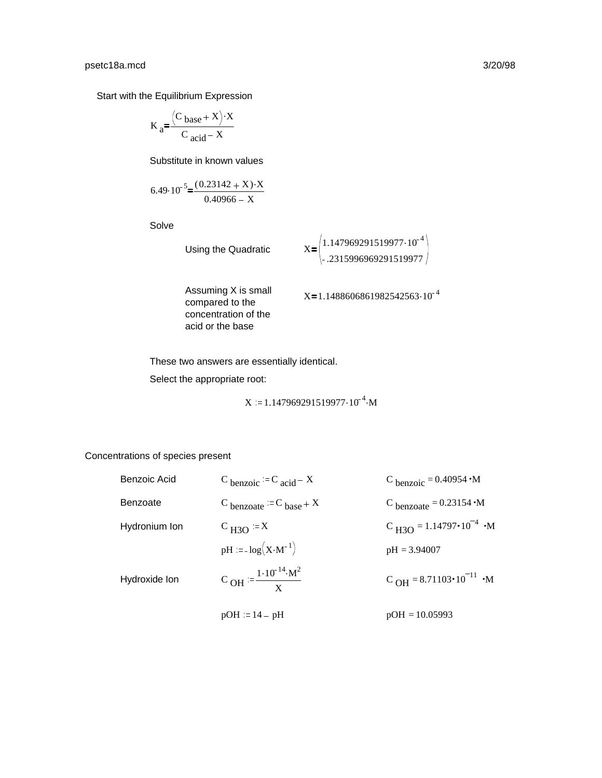Start with the Equilibrium Expression

$$
K_{a} = \frac{(C_{base} + X) \cdot X}{C_{acid} - X}
$$

Substitute in known values

$$
6.49 \cdot 10^{-5} = \frac{(0.23142 + X) \cdot X}{0.40966 - X}
$$

Solve

Using the Quadratic 
$$
X = \begin{pmatrix} 1.147969291519977 \cdot 10^{-4} \end{pmatrix}
$$

$$
\left| \begin{array}{c} 2.11117676669291519977 \\ -2315996969291519977 \end{array} \right|
$$

 $X = 1.1488606861982542563 \cdot 10^{-4}$ 

Assuming X is small compared to the concentration of the acid or the base

These two answers are essentially identical.

Select the appropriate root:

$$
X = 1.147969291519977 \cdot 10^{-4} \cdot M
$$

| Benzoic Acid    | C benzoic $=$ C acid – X                        | C benzoic = $0.40954 \cdot M$               |
|-----------------|-------------------------------------------------|---------------------------------------------|
| <b>Benzoate</b> | $C_{benzoate} = C_{base} + X$                   | C benzoate = $0.23154 \cdot M$              |
| Hydronium Ion   | $C_{H3O} = X$                                   | $C_{H3O} = 1.14797 \cdot 10^{-4}$ ·M        |
|                 | $pH = -\log(X \cdot M^{-1})$                    | $pH = 3.94007$                              |
| Hydroxide Ion   | $C_{OH} = \frac{1 \cdot 10^{-14} \cdot M^2}{V}$ | $C_{\text{OH}} = 8.71103 \cdot 10^{-11}$ ·M |
|                 | $pOH = 14 - pH$                                 | $pOH = 10.05993$                            |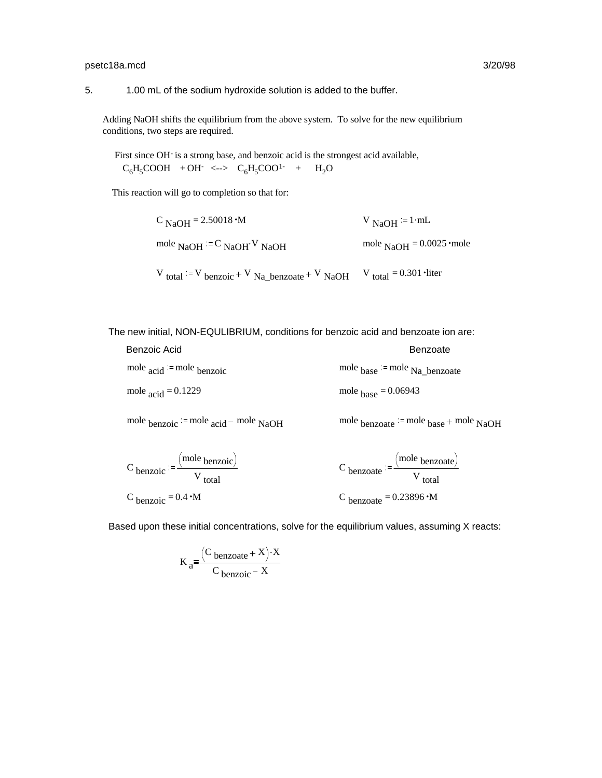5. 1.00 mL of the sodium hydroxide solution is added to the buffer.

Adding NaOH shifts the equilibrium from the above system. To solve for the new equilibrium conditions, two steps are required.

 First since OH- is a strong base, and benzoic acid is the strongest acid available,  $C_6H_5COOH$  + OH <-->  $C_6H_5COO<sup>1</sup>$  +  $H_2O$ 

This reaction will go to completion so that for:

 $C_{\text{NaOH}} = 2.50018 \cdot M$  V  $_{\text{NaOH}} = 1 \cdot mL$ mole  $NaOH = C NaOH$ <sup>V</sup> NaOH mole  $NaOH = 0.0025$  mole V total  $V = V$  benzoic + V Na benzoate + V NaOH V total = 0.301 liter

The new initial, NON-EQULIBRIUM, conditions for benzoic acid and benzoate ion are:

| Benzoic Acid                               | Benzoate                        |
|--------------------------------------------|---------------------------------|
| mole $_{\rm acid}$ = mole $_{\rm benzoic}$ | mole $base := mole$ Na benzoate |
| mole $_{\text{acid}} = 0.1229$             | mole $_{\text{base}} = 0.06943$ |

mole  $_{\text{benzoic}}$  = mole  $_{\text{acid}}$  - mole  $_{\text{NaOH}}$  mole  $_{\text{benzoate}}$  = mole  $_{\text{base}}$  + mole  $_{\text{NaOH}}$ 

benzoate

$$
C_{benzolic} = \frac{\text{(mole benzoic)}}{V_{total}}
$$
\n
$$
C_{benzolic} = 0.4 \cdot M
$$
\n
$$
C_{benzode} = 0.23896 \cdot M
$$
\n
$$
C_{benzode} = 0.23896 \cdot M
$$

Based upon these initial concentrations, solve for the equilibrium values, assuming X reacts:

$$
K_{a} = \frac{(C_{benzoate} + X) \cdot X}{C_{benzoic} - X}
$$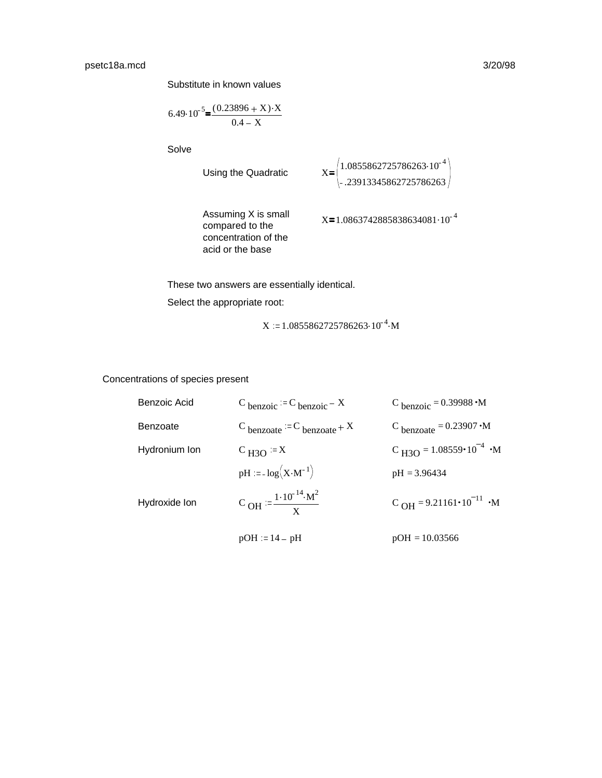Substitute in known values

$$
6.49 \cdot 10^{-5} = \frac{(0.23896 + X) \cdot X}{0.4 - X}
$$

Solve

Using the Quadratic 
$$
X = \begin{bmatrix} 1.08 \\ 1.08 \end{bmatrix}
$$

 $\sqrt{1.0855862725786263 \cdot 10^{-4}}$  $\bigg\}$ . 23913345862725786263

Assuming X is small compared to the concentration of the acid or the base

 $X = 1.0863742885838634081 \cdot 10^{-4}$ 

These two answers are essentially identical.

Select the appropriate root:

 $X = 1.0855862725786263 \cdot 10^{-4}$  M

| Benzoic Acid    | C benzoic $=$ C benzoic $- X$                   | C benzoic = $0.39988 \cdot M$              |
|-----------------|-------------------------------------------------|--------------------------------------------|
| <b>Benzoate</b> | C benzoate $=C$ benzoate $+X$                   | C benzoate = $0.23907 \cdot M$             |
| Hydronium Ion   | $C_{H3O} = X$                                   | $C_{H3O} = 1.08559 \cdot 10^{-4}$ ·M       |
|                 | $pH = -\log(X \cdot M^{-1})$                    | $pH = 3.96434$                             |
| Hydroxide Ion   | $C_{OH} = \frac{1 \cdot 10^{-14} \cdot M^2}{V}$ | $C_{\text{OH}} = 9.21161 \cdot 10^{-11}$ M |
|                 | $pOH = 14 - pH$                                 | $pOH = 10.03566$                           |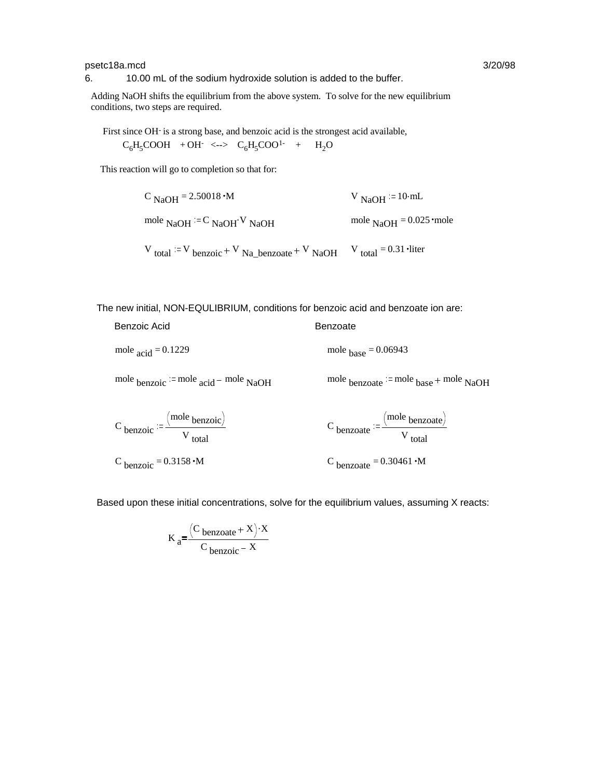6. 10.00 mL of the sodium hydroxide solution is added to the buffer.

Adding NaOH shifts the equilibrium from the above system. To solve for the new equilibrium conditions, two steps are required.

 First since OH- is a strong base, and benzoic acid is the strongest acid available,  $C_6H_5COOH$  + OH <-->  $C_6H_5COO<sup>1</sup>$  +  $H_2O$ 

This reaction will go to completion so that for:

$$
V_{NaOH} = 2.50018 \cdot M
$$
  
\n
$$
V_{NaOH} = 10 \cdot mL
$$
  
\n
$$
V_{NaOH} = 10 \cdot mL
$$
  
\n
$$
V_{NaOH} = 10 \cdot mL
$$
  
\n
$$
V_{NaOH} = 10 \cdot mL
$$
  
\n
$$
V_{NaOH} = 0.025 \cdot mole
$$
  
\n
$$
V_{total} = 0.31 \cdot liter
$$

The new initial, NON-EQULIBRIUM, conditions for benzoic acid and benzoate ion are:

| Benzoic Acid                   | Benzoate                 |
|--------------------------------|--------------------------|
| mole $_{\text{acid}} = 0.1229$ | mole $_{base} = 0.06943$ |

mole  $_{\text{benzoic}}$  = mole  $_{\text{acid}}$  - mole  $_{\text{NaOH}}$  mole  $_{\text{benzoate}}$  = mole  $_{\text{base}}$  + mole  $_{\text{NaOH}}$ 

$$
C_{benzolic} := \frac{(mole_{benzolic})}{V_{total}}
$$
  
\n
$$
C_{benzolic} = 0.3158 \cdot M
$$
  
\n
$$
C_{benzode} = 0.30461 \cdot M
$$
  
\n
$$
C_{benzode} = 0.30461 \cdot M
$$

Based upon these initial concentrations, solve for the equilibrium values, assuming X reacts:

$$
K_{a} = \frac{(C_{benzoate} + X) \cdot X}{C_{benzolic} - X}
$$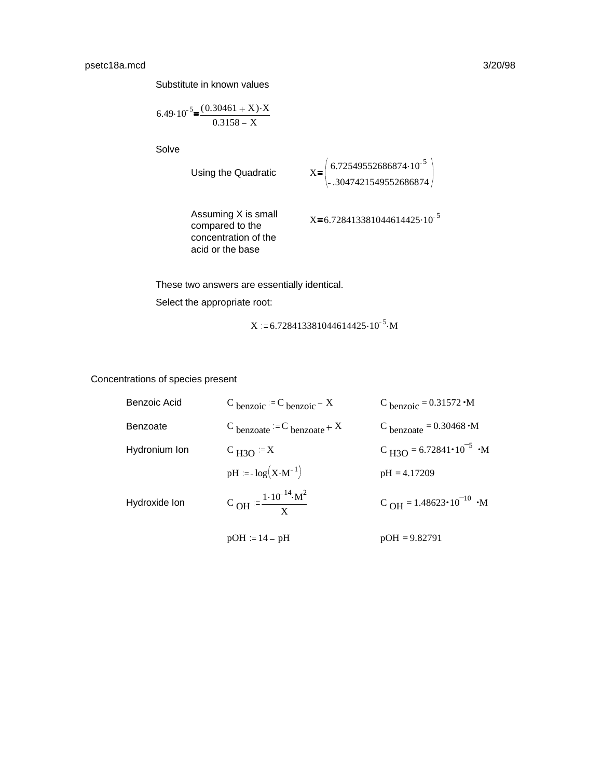Substitute in known values

$$
6.49 \cdot 10^{-5} = \frac{(0.30461 + X) \cdot X}{0.3158 - X}
$$

Solve

Using the Quadratic 
$$
X
$$

$$
X = \begin{pmatrix} 6.72549552686874 \cdot 10^{-5} \\ -.3047421549552686874 \end{pmatrix}
$$

Assuming X is small compared to the concentration of the acid or the base

 $X = 6.728413381044614425 \cdot 10^{-5}$ 

These two answers are essentially identical.

Select the appropriate root:

$$
X := 6.728413381044614425 \cdot 10^{-5}
$$
·M

| Benzoic Acid    | C benzoic $=$ C benzoic $- X$                   | C benzoic = $0.31572 \cdot M$              |
|-----------------|-------------------------------------------------|--------------------------------------------|
| <b>Benzoate</b> | C benzoate $=C$ benzoate $+X$                   | C benzoate = $0.30468 \cdot M$             |
| Hydronium Ion   | $C_{H3O} = X$                                   | $C_{H3O} = 6.72841 \cdot 10^{-5}$ ·M       |
|                 | $pH = -\log(X \cdot M^{-1})$                    | $pH = 4.17209$                             |
| Hydroxide Ion   | $C_{OH} = \frac{1 \cdot 10^{-14} \cdot M^2}{V}$ | $C_{\text{OH}} = 1.48623 \cdot 10^{-10}$ M |
|                 | $pOH = 14 - pH$                                 | $pOH = 9.82791$                            |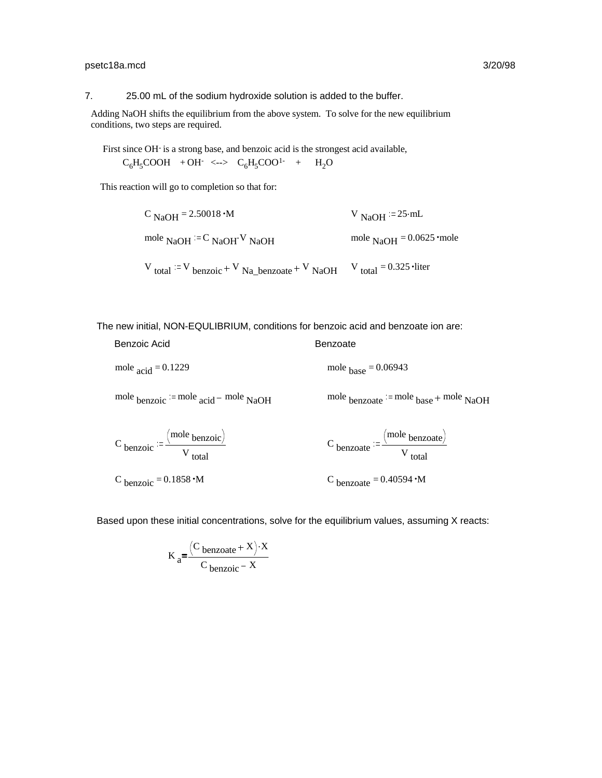#### 7. 25.00 mL of the sodium hydroxide solution is added to the buffer.

Adding NaOH shifts the equilibrium from the above system. To solve for the new equilibrium conditions, two steps are required.

First since OH- is a strong base, and benzoic acid is the strongest acid available,

 $C_6H_5COOH$  + OH <-->  $C_6H_5COO<sup>1</sup>$  +  $H_2O$ 

This reaction will go to completion so that for:

 $C_{\text{NaOH}} = 2.50018 \text{ M}$   $V_{\text{NaOH}} = 25 \text{ mL}$ mole  $NaOH = C NaOH$ <sup>V</sup> NaOH mole  $N_A$ OH = 0.0625 • mole V total  $V = V$  benzoic + V Na\_benzoate + V NaOH V total = 0.325 liter

The new initial, NON-EQULIBRIUM, conditions for benzoic acid and benzoate ion are:

| mole $_{\text{acid}} = 0.1229$ | mole $_{base} = 0.06943$ |
|--------------------------------|--------------------------|

Benzoic Acid Benzoate

mole  $_{\text{benzoic}}$  = mole  $_{\text{acid}}$  - mole  $_{\text{NaOH}}$  mole  $_{\text{benzoate}}$  = mole  $_{\text{base}}$  + mole  $_{\text{NaOH}}$ 

C benzoic mole benzoic V<sub>total</sub>

$$
C_{benzoate} = \frac{\text{(mole benzoate)}}{V_{total}}
$$

 $C_{\text{benzolic}} = 0.1858 \cdot M$   $C_{\text{benzoute}} = 0.40594 \cdot M$ 

Based upon these initial concentrations, solve for the equilibrium values, assuming X reacts:

$$
K_{a} = \frac{(C_{benzoate} + X) \cdot X}{C_{benzoic} - X}
$$